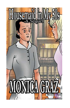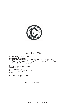

#### Copyright © 2022

Published by Mags, Inc All Rights Reserved. No part of this book may be reproduced without the written permission of the publisher, except for brief quotes contained within a critical review.

For information address Mags, Inc. P.O. Box 5829 Sherman Oaks, CA 91413 USA

Call toll free (800) 359-2116

www.magsinc.com

COPYRIGHT ©) 2022 MAGS, INC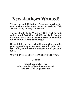## **New Authors Wanted!**

**Mags, Inc and Reluctant Press are looking for new authors who want to write exciting TG, crossdressing or sissy TV fiction.**

**Stories should be in Word or Rich Text format, and around 24,000 to 30,000 words in length. Reluctant Press also prints some shorter stories in the 19,000 to 24,000 word range.**

**If you think you have what it takes, this could be your opportunity to see your name in print on a real book, commercially published, and get paid for it.**

**WRITE FOR A FREE NEWSLETTER, TOO!**

**Contact**

**magsinc@pacbell.net, reluctantpress@gmail.com - or call 800-359-2116 to get started.**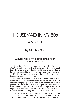# **HOUSEMAID IN MY 50s A SEQUEL**

## **By Monica Graz**

#### **A SYNOPSIS OF THE ORIGINAL STORY CHAPTERS 1-29**

Nick (Nicky) Carson announces to his wife Pamela Manley (Pam) that he is getting early retirement under favourable conditions. He is 55 and says that he would love to get the housekeeper's responsibilities at their large mansion since their (twice a week) Filipina cleaner Linda also in her mid-50s has to move back to her family in Philippines.

Pam has her reservations but Nick is very persuasive and eventually she is convinced to accept his request. In her late 40s she has a high paying job in the legal profession with prospects of partnership. She knows that Nick is a repressed crossdresser and very keen in doing housework. For the past two years he was acting as Linda's informal assistant. They have a daughter of 22, Katherine (Kath), finishing her studies in another town.

The first person who is informed about their decision is their common friend Tania who is very sympathetic to Nick's crossdressing tendencies. Nick for years has been confiding to her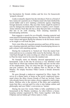#### 2 Monica Graz

his fascination for female clothes and his love for housework 'properly dressed'.

Linda eventually departs but she introduces Nick to a friend of hers Annie de Laurentis an ex Filipino maid who had climbed the social ladder and is now running a domestic agency importing foreign domestic workers. She says that Annie might be useful in case he changes his mind and he wants to employ a new cleaner. Annie informs Nick that she has a shop that provides everything that has to do with cleaning, from cleaning materials to housekeeping uniforms.

Pam suggests a search for eco-friendly cleaning material and some practical housekeeping dresses. She knows that Nick would wear a dress and apron during her absence to do his house chores so he might as well look the part.

Nick visits Miss de Laurentis premises and buys all the necessary cleaning materials and three simple housekeeping dresses in pale colours with matching aprons.

During the weekend he is 'kicked out' from the master bedroom and moves to a crummy little room by the kitchen. He is invited back though for some exciting sex where he really confides to Pam his inner need to become the maidservant.

He formally starts on Monday dressed appropriately as a housemaid. Later in the day he receives a very detailed e-mail from Pam in which she renames him Nikki and sets out the rules of his employment. They are strict but fair. He agrees to sign a one-year contract. He has to address Pam as Ma'am or Mrs Manley. He simply becomes Nikki Carson a female domestic worker.

He goes through a makeover organised by Miss Annie. He serves at a dinner party at home as the newly employed housemaid where the three closest friends of Pam are invited, Tania who already knows his new status, always supportive and sympathetic, Melissa who is the strictest of the three and completely treats him like a servant and Eva who is into Indian culture and philosophy and sees Nikki's conversion as 'karma'.

During the next few weeks Nikki is fully established as the housemaid at the Manley residence, he (she) follows a housekeeping seminar organised by Miss Annie together with three Filipinas and an Indian girl whose name is Arka.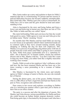Miss Annie makes up a story and explains to them (to Nikki's surprise) that she is a transitioning TG person and has serious financial difficulties because she became suddenly unemployable. But a kind lady (Mrs. Manley) gave her a job as a housemaid. So, Nikki has a lot to learn and the girls should be kind and understanding to her.

Arka is fascinated by the story and being Indian and from a lower cast and believing in karma says that there are lots of TGs like Nikki in India and they are called 'hijras'.

She starts befriending Nikki and convinces her that she would look good in a saree. Nikki agrees to wear one and Arka gives her an Indian name 'Harita' meaning 'Green'.

Six months later Mrs Manley and her maid Nikki are moving to a new house at an upmarket suburb where uniformed maids are in common sight as they move around running errands, doing shopping or walking the dog for their rich employers. Mrs. Manley is in a process of organising a big dinner party with lots of people from her work milieu and Nikki is going to serve assisted by Arka. Nikki feels more comfortable now as a 'substitute female', she is dressed 24/7 in female clothes, mostly her uniform dresses and as Mrs. Manley told her, 'You don't look like a man in drag any more Nikki, you rather look like a slightly masculine working-class woman'.

Finally, Nikki reveals to her employer Arka's influence on her and how she has been renamed Harita and has been out a few times wearing a saree pretending to be a woman of Indian descent.

Mrs Manley is fascinated by the whole story and initially agrees to Nikki's change of name to Harita, she says she reminds her of Harriet.

During the dinner party, one of the guests, Debbie Simmons who is a HR officer at Pam's legal firm and had met Harita in the past as Nick, recognises and confronts her.

Pam comes to her rescue and explains everything to Debbie who in a mischievous manner offers a part time job to Harita at their firm as an office cleaner.

The party is a success and after the departure of guests, Mrs Manley and Arka discuss various possibilities for Hatita and how she could become an Indian female migrant domestic worker. Pam being quite tipsy is fascinated by the prospect and Arka has a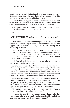sinister interest to push that option. Harita feels excited and terrified at the same time. She feels that she loses control of her life and yet she is secretly attracted to that option.

A trip to India is suggested where Harita would be immersed to the Indian culture and to the ruthless class system where she would be attached to the lower cast of 'dalits' or 'harijans'.

Harita goes to bed frightened and fascinated at the same time. She has a disturbed night with scary dreams.

*READ ON…*

#### **CHAPTER 30 – Indian plans cancelled**

"You know Nikki, on second thoughts, I think that the Indian venture or adventure for you is far too risky and I won't allow it to happen." Mrs Manley said looking at me as I was serving her a second cup of coffee.

She was sitting at the small breakfast table between the kitchen and the dining room. It was Sunday morning the day after the big dinner party and the conversation that followed late last night between her and Arka about 'Harita's (mine) Indianisation project' as they happily called it.

Arka had left early in the morning having other commitments and we were just the two of us.

Sunday was my best day of the week. Everything was informal in the big mansion. Technically it was my day off and I was not obliged to wear my usual housekeeping uniform. We were both in our nighties and I had my usual kitchen apron on to prepare and serve breakfast. Wearing an apron was by now a second nature to me. I somehow felt naked without my pinny on.

I looked at her with immense relief, somehow a burden was lifted. "You know Pam- I was allowed to call her that on my day off-, you really and truly take a big burden off my shoulders. This Harita project however exciting it sounds, made me feel out of my depth. Thank you for rescuing me from Arka's clutches."

She looked at me surprised, "I thought you liked Arka, I thought Arka is your friend and confidante."

"She is and she isn't, she is a bit pushy and I think she has her own agenda. She tries to climb fast the social ladder and at the same time she pushes me down the same ladder."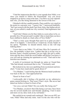"I had the impression that this is your agenda dear Nikki; ever since you started to follow the housemaids' way you never stopped to go down a step at the time. You thrive in your subordinate role, you like being demoted to the lowest of the low."

I blushed with her candid remarks, Pam could be very much to the point in a sarcastic way. "I guess I do," I answered truthfully, "but I got scared with the push I got from Arka, that Indian adventure, as you called it, made me very worried, I had nightmares last night."

"And I don't blame you for that, India is a scary place to be, especially for a TG person and I wouldn't like to learn that you have been stubbed to death at a back alley of New Delhi!"

"That's a truly scary thought Pam and I'm so glad you don't allow it to happen." I answered as I wiped my sweaty hands on my apron. "Probably we should inform Arka so she will stop making plans."

"Leave that to me Nikki, I'll call later Miss De Laurentis office, she probably is there now. I gather that she is on her way to become Anna's trustful assistant; you are right, this girl is ambitious and she does climb the social ladder and before you know it you will end up cleaning her apartment as well." Pam said in her mischievous manner.

A jostle of excitement run through my spine as I heard that, "She had already mentioned that to me," I hesitantly said.

She looked at me, her eyes sparkling from excitement and mischief, "Come here maid and be quick about it!"

"Yes Madam," I said feeling that the Mistress/maid syndrome was back in the air. I fast approached her.

"Kneel in front of me!"

I awkwardly did it feeling a bit puzzled, as my submissive genes started kicking in. That wasn't Pam's style. She never had asked me before to kneel in front of her.

"Are you a servant Nikki? Do you really like being one?"

"Yes Madam, you know that I like being a servant, I have been one for several month now and literally speaking, I feel it more and more on my skin; look at my red hands."

She smiled at my remark and continued, "But you are MY servant, Nikki! Mine and only mine. And I'm the one who will de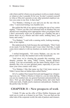cide where and for whom you are going to work as a maid, cleaner or whatever else I consider fit for you. So don't commit yourself to Arka or Miss de Laurentis or any other potential employer unless you come to me first. Is that clear?"

"Yes Madam, I belong to you and you are the one who decides," I answered feeling very humble now.

She pulled the bib of my apron revealing the top of my cotton nightie, "I know you like your informal look on Sundays but you should wear something more appropriate when you prepare food. I don't necessarily want you in uniform on a Sunday but put a house dress on or a blouse and skirt outfit, nothing fancy, just homy and comfy."

"Yes Madam," I said with a cunning smile, looking meaningfully at her nightie.

She understood my look because she said sharply, "Don't look at me maid, I'm the Mistress and I wear what I feel like, I could come down naked or with my knickers on inside out if I feel like it."

I smiled benignantly, "Of course Madam, you are my employer and I'm only the maidservant in this household."

"And since we're clearing the grounds this morning, your identity remains the same, Nikki Carson, female domestic worker. You can occasionally use the name Harita which I incidentally like a lot, as your spiritual name, especially if you continue your close contact with Arka."

"Yes Madam, I like that name too but I feel more secure as Nikki Carson than an Indian hijra called Harita."

All of a sudden Pam leaned forward and hugged me whispering to my ear, "Nikki or Harita or whatever, you are mine darling, you are my maidservant, my general factotum and potentially my slave. Now go and change to something homy and come back with your tools, I badly need a manicure and pedicure. Sunday is the perfect day for that."

## **CHAPTER 31 – New prospects of work**

"I think I'll take up the offer of Miss Debbie Simmons and send you to work as a cleaner in our Firm. You can find out the other side of the corporate world, the side of janitors and cleaners.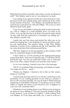What did she mention yesterday, three times a week, an afternoon shift?" Mrs Manley said to me as I was doing her toe nails.

I was sitting in my special wooden low stool dressed in a simple house frock and a plastic pinny and I looked up at her with a certain amount of anxiety, "Yes Madam, she mentioned three afternoons per week between 3.00 and 8.00pm." We were in a strict Mistress/maid mode again.

"I see if I can ask Debbie to bring the shift an hour backwards, say 2.00 to 7.00pm so I could probably drive you back in my Volvo. You can take the bus to go there, the nearest stop is about 10 min walk from the mansion as I remember you telling me." Mrs Manley casually said.

I gently put one foot down and picked the other one as my mind was running fast. I was thinking of various possible scenarios and implications. The positive thing is that Miss Debbie Simmons is aware of my condition and she will hopefully offer me some protection from unforeseen problems.

"But they might see us leaving together in the evening. Could there be a potential danger in that Madam?"

"I don't think so, we'll be meeting in the underground garage and go from there. And even if someone asks, I'll tell them what is practically true. You are my maid and I allow you to work part time as an office cleaner because you need the extra money."

As we were chatting, I started to give her a foot massage.

"Oh! It's so soothing Nikki, keep going, your hands are magic. You make me feel so... good."

"Thank you Madam, I learned a lot in that on line course, thanks to YouTube."

"You do learn fast dear and I love it, but let's come back to the possibility of you working parttime in our Firm as a cleaner; I have to ask you more formally, are you ok with it? Shall I proceed organising it with Debbie Simmons? Everything you do as Nikki inside or outside this house is not forced on you, it happens on your own will, remember that?"

I blushed as I was looking down at my Mistress foot resting on my apron as I was rubbing it. I felt once more the familiar tickling in my stomach, I was excited as I replied, "I hide nothing from you Madam, so I'll be open and frank; yes, I want to work as a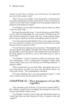#### 8 Monica Graz

cleaner in your Firm, it will be a new first for me, I'll expose the new me to the outside world."

"That's brave of you Nikki. Your strong drive to this peculiar social downgrade has no limits and clearly I'm the one who has to control you as I did when I stopped you from going to India to an unknown and dangerous future."

"Yes Madam, you are right and please stop me when you think I take too many risks."

She looked sceptically at me, "I can do that up to a point Nikki, you are after all responsible for your actions. I'll help as far as I don't become annoyed or bored with you. At the moment I happen to enjoy as much as you this extraordinary phase in our life."

"I'm relieved to hear that Madam; This is not a game anymore; it is very real and I would be very worried to know that you could become bored or annoyed with it."

"I'm not bored or annoyed, not yet anyway," She abruptly said and moving her foot added, "Enough of the foot rub Nikki, please go and make a cup of tea and we can continue this conversation in the back garden we still have a lot to talk about and it's such a lovely day."

"Yes Madam," I said as I started to collect my manicure pedicure implements, "Tea is coming and I managed to bake some scones earlier when you were having your morning ablutions." I gingerly added.

"What a housewife you are dear Nikki. And please put one of your nice pinnies on when you serve tea, this plastic apron you wear looks messy." She meaningfully remarked.

"Of course Madam, this is my special pedicure apron," I said with a small curtsey like the good servant I was.

#### **CHAPTER 32 – New prospects of our life together**

"This strawberry jam is divine, is it your own creation Nikki?" Mrs. Manley asked as she was happily devouring her scone with the jam and double clotted cream.

"Yes Madam, I made it some weeks ago. Remember when we visited that farm up north buying all sorts of organic fruits and veggies?"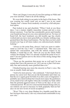"How can I forget; it was one of your first outings as Nikki and you were terrified. I had to do all the talking."

We were both sitting in our patio in the back of the house. She was wearing her comfy track suit on and I was in my usual 'Sunday best' a house frock modestly covered by a full and practical apron.

Pam looked at me and chuckled, "When I look at you these days, I see a mature slightly masculine woman and not a cross dresser anymore. Your hair has considerably grown and Jennifer your beautician has given you a nice and practical cut. No trace of beard left, the laser treatment you did months ago has clearly worked and you move more gracefully as a female, nothing exaggerated there like those loud trannies. The fact that you feel a skirt around your legs at all times makes you subconsciously daintier looking."

"Always to the point Pam, always! And you seem to understand so well the way I feel." I chuckled back. "But since you started this conversation, and with the utmost respect to my Madam, I would like to ask, "How do you see the whole Nikki venture developing? Have we already reached the point of no return? Can our relation survive the stress of this strong change that happens to me?"

"Those are the questions that pester me as well and I'm not certain that I have the answers yet. All I can say is that I feel mentally fine and erotically more gratified than ever."

I blushed hearing once more the sincerity in Pam's voice. She was as usually frank and open.

"And to be more precise," she continued, "I feel much freer to pursue my career now that you are the homemaker and I dare say that the sex is again great for both of us after years of stagnation. I probably am a latent lesbian but I much more enjoy the gentleness of my maid in her soft nightie when she worships my body rather than the pretend aggressiveness of Nick in the days of our conventional period. We are two concessional human beings and yes, our relation can survive because we both gradually find our balance on our new levels of social acceptance."

"Wow! This is very deep Madam for a humble maid like me but I do know that much, I am very relaxed and comfortable in my new role."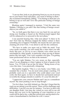"I can see that, look at you gleaming from joy as you sit across me in your house frock and pinny, you seem to belong to them," she exclaimed immediately adding, "You belong to them but you belong to me as well and I love this particular feeling of benign ownership."

Blushing again I managed to murmur, "I feel the same way Madam, I belong to you and I like that feeling of benign ownership as you called it."

"So, we both agree that there is no way back for you and our strong new bonding is based on the Mistress/maid rapport that will be enhanced as we proceed to the next phase."

I was puzzled hearing that, what next phase? Is there to be one? Now that my Mistress stopped the Indian venture is there something else to happen? Probably she means the new part time cleaning job at her Firm. I was about to ask but she continued,

"We have to make you more real as Nikki the maid. Your voice needs coaching, you still sound like a man when you talk freely like now, or you try to use a falsetto voice when you are surrounded by other people, in particular when serving at dinner parties like last night. Your voice sounded a bit false. I'm getting some professional advice on that at the moment."

"You are right Madam, I'm very aware on that, especially when I'm out shopping or when I appear in front of guests in the house. Yes, I'll look it up on line for ideas," Being aware of my voice this time, I was practically whispering.

She heartily laughed, "This is a very husky voice Nikki, you sounded like a hooker. You do need some proper coaching, I'll probably send you to a specialist who could adjust your vocal cords, but then again, we have to decide how permanent and not reversible the changes should or could be. It's your life after all."

"I appreciate your concern Madam and I am in a conundrum myself. My inner pushing is not to stop though."

"Go for it then, I am fully behind you. But don't forget that the road you are taking is not the easiest. There will be challenges and difficulties. I can tell you one for instance. You have to deal with our daughter Kath. Last time she visited we were still in our old house and you were in the beginning of your transition so you could still be dad to her, a dad that retired early and decided to become a househusband to facilitate his wife's career."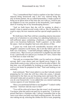"Yes, I remembered that I tried to explain to her that I always enjoyed doing housework and I feel very relaxed being the stay-at-home partner, the so-called homemaker. I made a point of being on an apron most of the time she was with us, I tried to put an emphasis to my new position in the household; I just stopped short of wearing one of my housekeeping dresses."

"And we both know that she will be coming in about a month's time to spend several weeks with us. She is looking forward to enjoy the new mansion and her special ample quarters in it."

We both knew that Pam with her consulting interior decorator paid a lot of attention in converting two adjoining bedrooms to a self-sufficient space containing a bedroom, a study/kitchenette and a very luxurious bathroom, 'Kath's quarters', as she called the space. And our daughter had seen only photos of that.

"I guess my work load will considerably increase with our daughter's presence in the house, she is not the tidiest girl as we both very well know," I said half-jokingly adding in a more concerned voice, "But I'm not yet certain how to handle her and what to say. I practically live and act as a woman 24/7 now, I know that we both have to deal with that."

"Not only as a woman dear Nikki, you live and act as a female servant, that's your choice and you should never forget it. So, when Kath comes to stay with us you will not be able to hide it. By that time, you will probably be working as a part time cleaner as well so you better be prepared for that," Pam said looking at me seriously.

And continued, "But I must admit to you that I already started preparing her for what she will face when she comes, I already mentioned to her that you are becoming more and more like our old maid Linda and you prefer to dress in a maid's uniform when you do your housework. I even added that you started exploring various aspects of your feminine side."

"Have you mentioned all that to our daughter?" I asked visibly shocked, "And how did she react to that?"

"You will be relieved to know that she wasn't at all surprised. You know what she said to me and I try to quote her, 'I'm not surprised Dad have a feminine side, I always remember him as the carer even when you both were hard working parents. He was the one waking me up, selecting the clothes for me to wear, preparing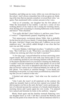breakfast, and tiding up my room, while you were driving me to the school. And I always remember him with an apron on, thinking at the time that my parents somehow reversed their roles,' unquote, Pam mentioned with a certain sarcasm in her voice.

"And as of yesterday, our daughter has the first photos of Nikki the housemaid in her mobile. I sent her a series of nice working photos of my maid as she is doing her morning chores, from dusting and vacuuming to cleaning bathrooms on her hands and knees!" Pam chuckled.

"You really did that? I don't believe it, and how come I haven't notice?" I impertinently gasped, forgetting my place.

"Not unnecessary excitement please Nikki, that is probably for the best for all of us as a family. Certain things should be out in the open. And don't forget your place girl, I address you as your employer now," she strictly added though it was clear that her tone was not fully serious.

"I'm sorry Madam, I did forget my place," I replied in a softer tone, "But I still have to ask. When have you taken those photos without me noticing and what was Kath's reaction?"

"A few days ago, I stayed behind for an hour answering some urgent emails. But you had to start with your chores and as I saw you wondering around in your morning uniform with the vacuum or the duster and then down on your knees cleaning my bathroom, I couldn't resist the temptation to take some photos of you in full working mode. You were so absorbed with what you were doing, that you haven't notice me as I followed behind you with my mobile phone. You looked so satisfied though, I even heard you humming at one point, so I once more reconfirmed my initial feeling that you are a natural in that role."

I blushed and asked again, "And what was the reaction of Kath?"

"Like I said, she wasn't at all surprised; on the contrary she called me instantly back to tell me how natural you looked. She did recognise you but as she said, she hasn't seen a grotesque picture of a dressed-up man but a picture of a female maid doing her morning chores and I quote again her own words, 'I'm amazed how natural and feminine he looks in his uniform,' unquote."

Blush, blush again and the familiar stomach fluttering; now our daughter knew as well. I felt that I crossed the Rubicon and that was the point of no return for me. I felt an immense relief in a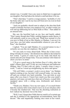sinister way, I wouldn't have any more to think how to approach our daughter, Pam had taken the initiative and had done it for me.

"That's that then," I said in a resign manner, "probably it's for the better after all; I can be my true self from now on even in front of our daughter."

"And you probably should start to adapt to the idea that Kath would eventually become your employer no2, in other words you will end up addressing her as Miss Kath or Miss." Pam added in an amused tone.

She saw the horrified look on my face and hastily added, "Don't panic though dear Nikki, nothing happens under duress, it will naturally come to you at the end. Think how normal it is for you now to think of me as Mrs Manley or Madam, I can see it in your face, you feel rather uncomfortable whenever you call me Pam," she chuckled.

I sighed, "You are right Madam, it's a second nature to me, I certainly see you like my employer. But Kath?"

"It's too early to worry about Kath. When she is here everything will take its course," she dismissively added as she looked at hew watch, "I guess it's time to go to my study and check my emails and call your friend Arka. You can continue with whatever chore you have in mind."

"I'll give a good mop to the kitchen floor it's dirty after last night's dinner party and I'll tidy up your bedroom and bathroom Madam, then I'll deal with my space, I usually clean it once a week," I said as I stood up straightening my dress and apron."

"Oh well Nikki, a woman's work is never done," my Madam replied winking at me, but don't kill yourself today, its your day off and you worked very hard yesterday. You can relax at your space after you clean it. I know how much you like your maid's quarters, not many servants have that sort of luxury, a small fully equipped space with a sitting area, kitchenette and shower facility."

"Thank you, Madam, I love my new space, it's so much better than the crummy little room I had to move in at our old place after I became the maidservant. That was the shocking realisation at how radical my decision was at the time."

"Well, I can't forget dear Nikki that my maid is of a certain age and she is entitled to the appropriate accommodation, basic but decent." She said impatiently looking once more at her watch.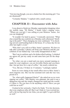"Get moving though, you are a chatter box this morning girl. You are dismissed!"

"Certainly Madam," I replied with a small curtsey.

## **CHAPTER 33 – Encounter with Arka**

I was about to finish my Monday supermarket shopping when my mobile rang, "Hi Harita," I heard Arka's singing voice, "Where are you girl, I was calling at your Mistress' house. Are you out shopping?"

"It wouldn't be hard to guess," I ironically answered, "What else a maid like me could do on a Monday early afternoon? Strolling in the park?" Then changing my tone continued, "I'm checking out now and heading back to the house. It's a busy day for me after last night's event."

"Why don't you call in at Miss Annie's premises. We have to talk after yesterday's phone call from your Mistress and the cancellation of our Indian trip. I am really disappointed on that."

"But I am in uniform and a bit dishevelled looking, I whisked my apron off, put my cardy on and came here just for the shopping."

"So what; you are a maid and you move around running errands for your employer, you are invisible Harita and you know that. Just get here for a cup of coffee," she nearly ordered me.

"Yes, Ma'am, I'll there in 15 minutes," I jokingly replied.

Soon we were sitting in her small office next to Miss Annie's more majestic one. She was her assistant now and she was very proud of it.

"So, what really happened Harita?" she asked me as we were sipping our coffee, "Mrs Manley was adamant, she said it was a dangerous trip and she simply changed her mind and she wouldn't allow it. Do you have to do anything with it? Have you got cold feet as well?"

I looked at her seriously, I had to be frank, "It is her decision, she is my employer after all. But I can't hide it, I was worried myself, a far too big step for me Arka, you are right I've got cold feet as well."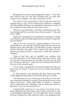She ignored my answer and changed the subject, "Your Mistress told me that you will start working soon as a part time cleaner in her company. Isn't that a big step as well?"

"It is and I'm very worried but it is here in this city where my comfort zone is. Also, I'll be working at my employer's company and Miss Debbie Simmons my immediate supervisor is aware of my condition so that makes me feel more at ease."

"Well, it's your life Harita, a life fully controlled by your Mistress though and I have no other choice but to accept it." Arka said with a smirk.

And before I managed to say anything she continued, "I gather your Mistress calls you Nikki again but do you mind if I keep calling you Harita?"

"Not at all Arka, not at all, I eagerly replied, "I love to be called Harita by you and Mrs. Manley said to me that can be my spiritual name. But officially I am still Nikki Carson a domestic worker and that's the name I'll be using if and when I'm employed as a cleaner at Pam's, oops sorry, I mean Mrs. Manley's company."

"Glad to hear that, and we probably can continue your so-called education in the Indian culture and class system. And you can still wear your saree on your days off when you are with me. Would you like that?" Arka said eyes shining with mischief. She was at her element again.

"I'd love that," I gasped full of excitement again that Arka was back to be my friend, "I want you to be my teacher and spiritual mentor."

As Arka started to say something the door opened and Miss Annie appeared impeccably dressed and made up as usually.

"Ah Arka, there you are, I need you in my office in a few minutes, a potential customer is coming. Then she looked at me, a thin smile on her face, "Well, hello Nikki or Harita, or whatever you're called these days. Shouldn't you be doing your chores at this hour? I see you are dressed for it."

I automatically stood up as I was used to do in front of anybody addressing me those days, and I nearly curtseyed as I answered slightly embarrassed, "You are right Miss Annie, I should be home working but Arka called me when I was shopping at the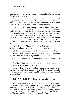supermarket and asked me to come for a cup of coffee and a chat. I'm about to go anyway."

"Yes Annie, I asked her to come, I wanted to find out what happened and Mrs. Manley cancelled our Indian trip." Arka interfered. I couldn't stop noticing the familiarity she had developed with Miss Annie they were in first name terms now.

"I see," Annie said and turning back to me added, "I was planning to call you but I might as well tell you now, your Mistress called me yesterday and instructed me to put your name down in my list of maids available for extra shifts in case I need a replacement if someone of my regular staff calls sick. So, you might be prepared for that. It will be a short notice so if you start working part time for your employer's company you should send me your hours of work so I know your availability. Clear enough for you Nikki?"

"Yes Miss Annie," I excitedly replied this time properly curtseying, my submissive genes being in full action again.

"Ok then, you might go now girl, Arka and I have work to do."

"Yes Mis Annie, I should be going anyway, I have shopping in my car's boot that needs refrigeration. Good bye for now.<sup>57</sup>

And then turning to Arka, "Good bye Arka, I'll be in touch with you."

"Bye Harita, looking forward to our next meeting, I love to see you again wearing your green saree."

Annie, looked at her and smirked, "Come on Arka, stop teasing the poor girl." Then turning to me, "Off you go girl, back to your chores or your Mistress might punish you." She smiled winking at me.

## **CHAPTER 34 – Dinner party again!**

The message came to my mobile in the middle of the morning. I heard the beep as I was finishing my morning coffee. It was from Mrs. Manley, short and to the point, 'I meet Tania for a drink after work and then we come for dinner around 8.00pm, prepare something nice and healthy, you know Tania's vegetarian preferences. And be presentable, you're serving. Your Madam.'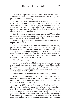Oh dear! A vegetarian dinner in such a short notice? I looked at the kitchen clock; I have several hours in front of me, I must plan a menu and go shopping.

Then another beep on my mobile always resting in my apron pocket. Another look and another message from my Mistress, 'Two more for dinner tonight. We have two adorable out of town young lawyers visiting our central offices for consultation and they are at a loose end so I invited then to join us. So, dinner for 4 please and keep it vegetarian. Mx'

Shit! Two more to come and young men as well? What a horror. I had to call Pam immediately though she warned me on several occasions never to disturb her at work.

Another beep, 'Wear your black uniform dress. I want you to impress the boys! M'

Oh God, I have to call her. I hit her number and she instantly picked, "I knew you could call Nikki and I know you feel panicky but there is nothing to worry about. Tania is your trusted friend anyway and the two guys are young and naïve. It's another good test for you to pass with honours so be formal and keep your voice down. I'll tell them that you have a cold and you nearly had lost your voice." She said speaking very fast.

"But Madam, I must…"

She stopped me, "Don't Madam me tonight it's too old fashioned, simply call me Mrs. Manley and call Tania 'Miss'. As for the two guys, their names are Tom and Doug, just call them 'Sir'. I have to go now, I'm about to enter a meeting. Bye Nikki and don't disappoint me tonight."

She disconnected before I had the chance to say a word.

So that's it. A vegetarian dinner for four tonight and I 'm alone to prepare everything. All of a sudden, I felt an energy of excitement. I can do it; this is my role at the moment I'm Nikki the maid and I have to make my Mistress proud tonight. '

It was past 6.00pm when I managed to finish my cooking. A nice spinach pie and a vegetarian moussaka were kept warm in the oven. I remembered tonight my 'Greek phase' when years ago when our daughter Kath was a teenager, I used to cook for her some Greek dishes, an influence from a friend who was running a Greek restaurant. Vegetarian moussaka was one of her favourites at the time and so was the spinach pie or spanakopita. I also pre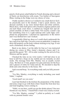pared a fresh green salad bathed in French dressing and a dessert of finely cut strawberries with cream. Two bottles of Sauvignon Blanc waiting in the fridge were my choice of wine.

I badly needed a shower so I rushed to my small shower facility practically next to the kitchen. I had a quick shower, and dressed carefully in my more formal black and white uniform. Black dress, white half apron with a broderie anglaise pattern and one-inch black court shoes. I combed my longish hair and adjusted carefully on them a white band. Not exactly a maid's cap but something close to it. Light makeup and a pale lippy completed my preparations. I checked my appearance in the mirror and I was thrilled how real I looked.

I coquettishly lifted my dress so I could check underneath the lacy end of my half-slip. I loved to wear an underskirt; it made my dress fall properly on the body without sticking to my legs. It was such a femininely divine feeling.

Back to my duties, I set the table for four as I was instructed during my course in Miss Annie's domestic classes and I inspected the guests' WC. All in order waiting for the arrival of my Mistress and her guests.

Checked the time on my wrist watch, I still had close to an hour to kill but a beep on my mobile put me instantly on alert mode. The message from Mrs. Manley was as usually crystal clear, 'Be there in 15 min, prepare two gins and tonic for the boys and 2 glasses of white for Tania and me. We decided to skip the drink and come directly to the house. Mx'

And a second beep, 'Is everything ready and you fully presentable?'

'Yes Mrs. Manley, everything is ready including your maid Nikki,' I replied.

'Good maid! see you soon.'

I just had finished in the kitchen the preparation of the drinks and some crisps to go with them when I heard the front door key and loud laughing voices coming in.

"Nikki, we are here, could you get the drinks please? Our new friends are very thirsty." I heard Pam's loud voice clearly excited.

"Yes Mrs. Manley, coming!" I yelled as politely as I could with my pretend female voice.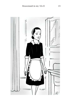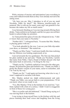With a mixture of anxiety and anticipation I put everything in a tray and walked towards them as they were already moved to the sitting room.

"Ah, here you are. May I introduce to all of you my maid Nicoletta, Nikki for short?" My Mistress mischievously announced. She is with me for many years and I am grateful to her because she makes my life so much easier."

I was furiously blushing as I was moving around offering them drinks. Tania smiled at me benignly and the two guys moved their heads to acknowledge my presence.

As Tania picked her glass of wine she whispered at me, "I didn't know that your name is Nicoletta."

"Neither did I," I whispered back, "It seems that Mrs. Manley is playing games with me."

"You look adorable by the way, I can see your little slip under your dress, so feminine!' She teased me

"Thank you Miss Tania," I said more loudly this time realising that my Mistress was looking suspiciously at us.

I moved towards the two gentlemen. The first one that picked his glass smiled at me and said, "Thank you Nicoletta, I prefer that name from Nikki, I had a friend of Italian descent who had that name back in university, I'm Doug by the way."

"Thank you Sir," I politely replied as I moved to the other gentleman. He picked his glass and smiled to me, "Thank you Nikki, I prefer the shorter version of your name, easier to remember, and I'm Tom by the way."

"Thank you Sir," I said again not knowing what else to say, I wasn't supposed to socialise with them.

Mrs. Manley picked my slight embarrassment and said, "Thank you Nikki, you can go back to your preparations, I'll let you know when we are ready to eat.

"Yes, Mrs Manley I'll be in the kitchen if you need me," I politely replied with a hint of a curtsey. I didn't want to exaggerate in front of those two young guys.

"She is so polite and old fashioned," I heard Doug saying as I was moving back to the kitchen.

I was trying to keep myself busy in the kitchen with bits and pieces listening their loud voices and laughing from the living